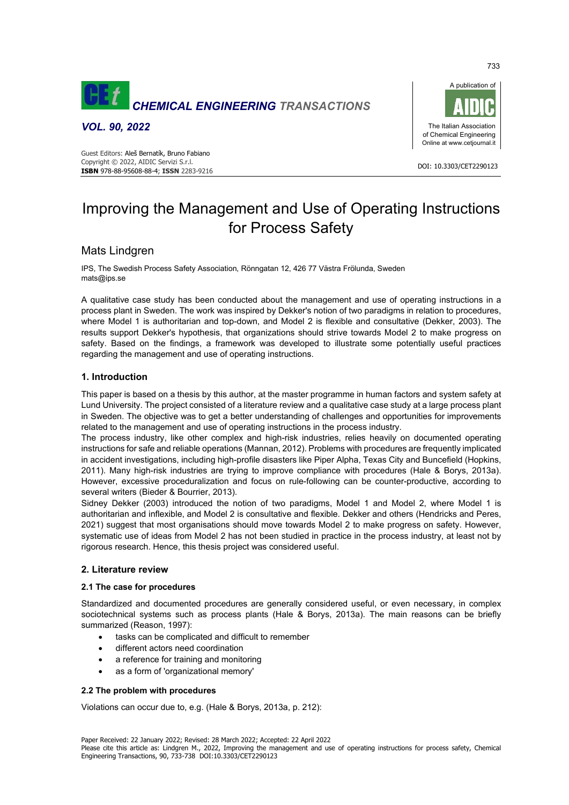

## *VOL. 90, 2022*

 DOI: 10.3303/CET2290123 **ISBN** 978-88-95608-88-4; **ISSN** 2283-9216 Guest Editors: Aleš Bernatík, Bruno Fabiano Copyright © 2022, AIDIC Servizi S.r.l.



# Improving the Management and Use of Operating Instructions for Process Safety

# Mats Lindgren

IPS, The Swedish Process Safety Association, Rönngatan 12, 426 77 Västra Frölunda, Sweden mats@ips.se

A qualitative case study has been conducted about the management and use of operating instructions in a process plant in Sweden. The work was inspired by Dekker's notion of two paradigms in relation to procedures, where Model 1 is authoritarian and top-down, and Model 2 is flexible and consultative (Dekker, 2003). The results support Dekker's hypothesis, that organizations should strive towards Model 2 to make progress on safety. Based on the findings, a framework was developed to illustrate some potentially useful practices regarding the management and use of operating instructions.

## **1. Introduction**

This paper is based on a thesis by this author, at the master programme in human factors and system safety at Lund University. The project consisted of a literature review and a qualitative case study at a large process plant in Sweden. The objective was to get a better understanding of challenges and opportunities for improvements related to the management and use of operating instructions in the process industry.

The process industry, like other complex and high-risk industries, relies heavily on documented operating instructions for safe and reliable operations (Mannan, 2012). Problems with procedures are frequently implicated in accident investigations, including high-profile disasters like Piper Alpha, Texas City and Buncefield (Hopkins, 2011). Many high-risk industries are trying to improve compliance with procedures (Hale & Borys, 2013a). However, excessive proceduralization and focus on rule-following can be counter-productive, according to several writers (Bieder & Bourrier, 2013).

Sidney Dekker (2003) introduced the notion of two paradigms, Model 1 and Model 2, where Model 1 is authoritarian and inflexible, and Model 2 is consultative and flexible. Dekker and others (Hendricks and Peres, 2021) suggest that most organisations should move towards Model 2 to make progress on safety. However, systematic use of ideas from Model 2 has not been studied in practice in the process industry, at least not by rigorous research. Hence, this thesis project was considered useful.

## **2. Literature review**

## **2.1 The case for procedures**

Standardized and documented procedures are generally considered useful, or even necessary, in complex sociotechnical systems such as process plants (Hale & Borys, 2013a). The main reasons can be briefly summarized (Reason, 1997):

- tasks can be complicated and difficult to remember
- different actors need coordination
- a reference for training and monitoring
- as a form of 'organizational memory'

## **2.2 The problem with procedures**

Violations can occur due to, e.g. (Hale & Borys, 2013a, p. 212):

733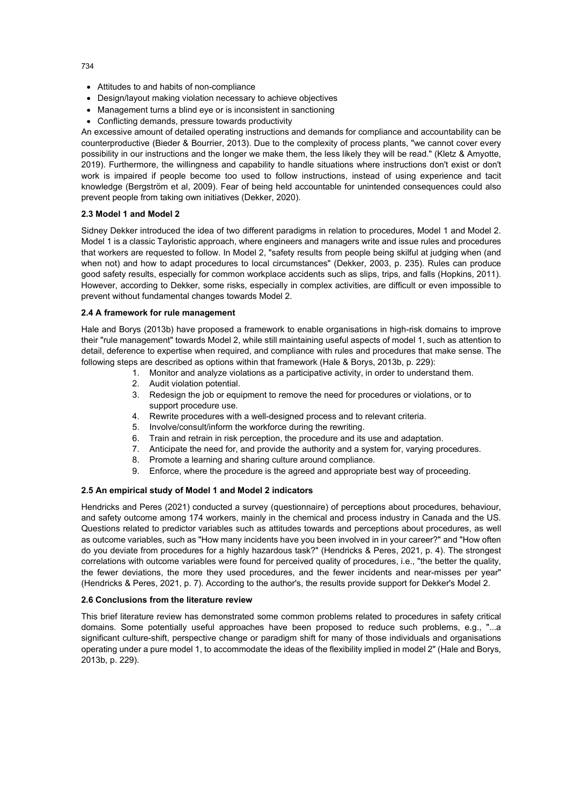- Attitudes to and habits of non-compliance
- Design/layout making violation necessary to achieve objectives
- Management turns a blind eye or is inconsistent in sanctioning
- Conflicting demands, pressure towards productivity

An excessive amount of detailed operating instructions and demands for compliance and accountability can be counterproductive (Bieder & Bourrier, 2013). Due to the complexity of process plants, "we cannot cover every possibility in our instructions and the longer we make them, the less likely they will be read." (Kletz & Amyotte, 2019). Furthermore, the willingness and capability to handle situations where instructions don't exist or don't work is impaired if people become too used to follow instructions, instead of using experience and tacit knowledge (Bergström et al, 2009). Fear of being held accountable for unintended consequences could also prevent people from taking own initiatives (Dekker, 2020).

#### **2.3 Model 1 and Model 2**

Sidney Dekker introduced the idea of two different paradigms in relation to procedures, Model 1 and Model 2. Model 1 is a classic Tayloristic approach, where engineers and managers write and issue rules and procedures that workers are requested to follow. In Model 2, "safety results from people being skilful at judging when (and when not) and how to adapt procedures to local circumstances" (Dekker, 2003, p. 235). Rules can produce good safety results, especially for common workplace accidents such as slips, trips, and falls (Hopkins, 2011). However, according to Dekker, some risks, especially in complex activities, are difficult or even impossible to prevent without fundamental changes towards Model 2.

#### **2.4 A framework for rule management**

Hale and Borys (2013b) have proposed a framework to enable organisations in high-risk domains to improve their "rule management" towards Model 2, while still maintaining useful aspects of model 1, such as attention to detail, deference to expertise when required, and compliance with rules and procedures that make sense. The following steps are described as options within that framework (Hale & Borys, 2013b, p. 229):

- 1. Monitor and analyze violations as a participative activity, in order to understand them.
- 2. Audit violation potential.
- 3. Redesign the job or equipment to remove the need for procedures or violations, or to support procedure use.
- 4. Rewrite procedures with a well-designed process and to relevant criteria.
- 5. Involve/consult/inform the workforce during the rewriting.
- 6. Train and retrain in risk perception, the procedure and its use and adaptation.
- 7. Anticipate the need for, and provide the authority and a system for, varying procedures.
- 8. Promote a learning and sharing culture around compliance.
- 9. Enforce, where the procedure is the agreed and appropriate best way of proceeding.

#### **2.5 An empirical study of Model 1 and Model 2 indicators**

Hendricks and Peres (2021) conducted a survey (questionnaire) of perceptions about procedures, behaviour, and safety outcome among 174 workers, mainly in the chemical and process industry in Canada and the US. Questions related to predictor variables such as attitudes towards and perceptions about procedures, as well as outcome variables, such as "How many incidents have you been involved in in your career?" and "How often do you deviate from procedures for a highly hazardous task?" (Hendricks & Peres, 2021, p. 4). The strongest correlations with outcome variables were found for perceived quality of procedures, i.e., "the better the quality, the fewer deviations, the more they used procedures, and the fewer incidents and near-misses per year" (Hendricks & Peres, 2021, p. 7). According to the author's, the results provide support for Dekker's Model 2.

#### **2.6 Conclusions from the literature review**

This brief literature review has demonstrated some common problems related to procedures in safety critical domains. Some potentially useful approaches have been proposed to reduce such problems, e.g., "...a significant culture-shift, perspective change or paradigm shift for many of those individuals and organisations operating under a pure model 1, to accommodate the ideas of the flexibility implied in model 2" (Hale and Borys, 2013b, p. 229).

734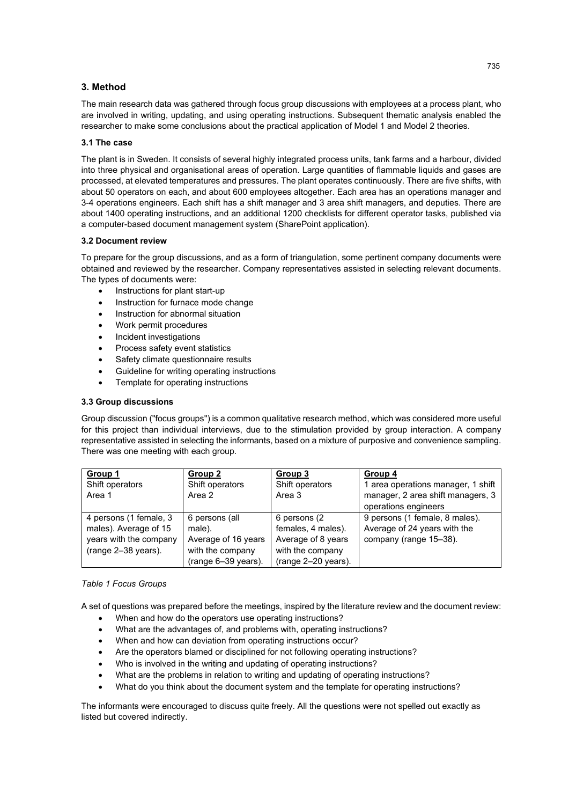## **3. Method**

The main research data was gathered through focus group discussions with employees at a process plant, who are involved in writing, updating, and using operating instructions. Subsequent thematic analysis enabled the researcher to make some conclusions about the practical application of Model 1 and Model 2 theories.

#### **3.1 The case**

The plant is in Sweden. It consists of several highly integrated process units, tank farms and a harbour, divided into three physical and organisational areas of operation. Large quantities of flammable liquids and gases are processed, at elevated temperatures and pressures. The plant operates continuously. There are five shifts, with about 50 operators on each, and about 600 employees altogether. Each area has an operations manager and 3-4 operations engineers. Each shift has a shift manager and 3 area shift managers, and deputies. There are about 1400 operating instructions, and an additional 1200 checklists for different operator tasks, published via a computer-based document management system (SharePoint application).

#### **3.2 Document review**

To prepare for the group discussions, and as a form of triangulation, some pertinent company documents were obtained and reviewed by the researcher. Company representatives assisted in selecting relevant documents. The types of documents were:

- Instructions for plant start-up
- Instruction for furnace mode change
- Instruction for abnormal situation
- Work permit procedures
- Incident investigations
- Process safety event statistics
- Safety climate questionnaire results
- Guideline for writing operating instructions
- Template for operating instructions

## **3.3 Group discussions**

Group discussion ("focus groups") is a common qualitative research method, which was considered more useful for this project than individual interviews, due to the stimulation provided by group interaction. A company representative assisted in selecting the informants, based on a mixture of purposive and convenience sampling. There was one meeting with each group.

| Group 1<br>Shift operators<br>Area 1                                                               | Group 2<br>Shift operators<br>Area 2                                                       | Group 3<br>Shift operators<br>Area 3                                                                 | Group 4<br>1 area operations manager, 1 shift<br>manager, 2 area shift managers, 3<br>operations engineers |
|----------------------------------------------------------------------------------------------------|--------------------------------------------------------------------------------------------|------------------------------------------------------------------------------------------------------|------------------------------------------------------------------------------------------------------------|
| 4 persons (1 female, 3<br>males). Average of 15<br>years with the company<br>$(range 2-38 years).$ | 6 persons (all<br>male).<br>Average of 16 years<br>with the company<br>(range 6-39 years). | 6 persons (2)<br>females, 4 males).<br>Average of 8 years<br>with the company<br>(range 2-20 years). | 9 persons (1 female, 8 males).<br>Average of 24 years with the<br>company (range 15-38).                   |

#### *Table 1 Focus Groups*

A set of questions was prepared before the meetings, inspired by the literature review and the document review:

- When and how do the operators use operating instructions?
- What are the advantages of, and problems with, operating instructions?
- When and how can deviation from operating instructions occur?
- Are the operators blamed or disciplined for not following operating instructions?
- Who is involved in the writing and updating of operating instructions?
- What are the problems in relation to writing and updating of operating instructions?
- What do you think about the document system and the template for operating instructions?

The informants were encouraged to discuss quite freely. All the questions were not spelled out exactly as listed but covered indirectly.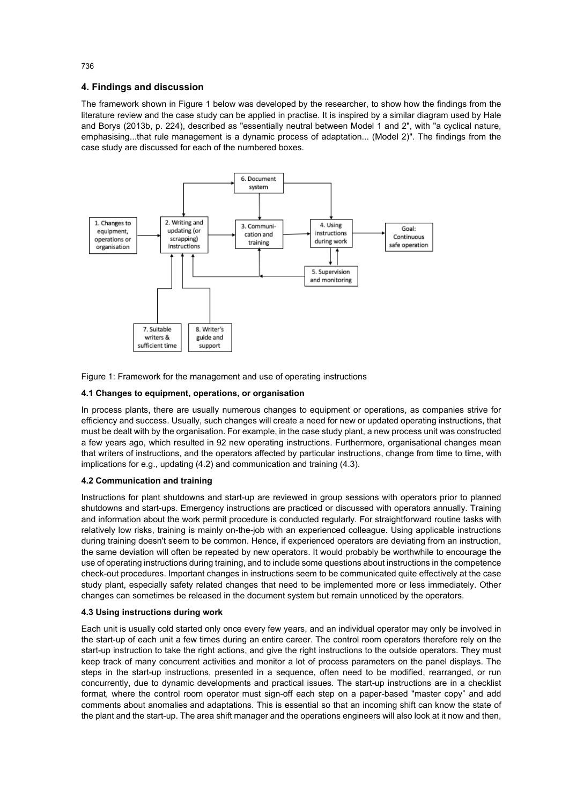## **4. Findings and discussion**

The framework shown in Figure 1 below was developed by the researcher, to show how the findings from the literature review and the case study can be applied in practise. It is inspired by a similar diagram used by Hale and Borys (2013b, p. 224), described as "essentially neutral between Model 1 and 2", with "a cyclical nature, emphasising...that rule management is a dynamic process of adaptation... (Model 2)". The findings from the case study are discussed for each of the numbered boxes.



Figure 1: Framework for the management and use of operating instructions

## **4.1 Changes to equipment, operations, or organisation**

In process plants, there are usually numerous changes to equipment or operations, as companies strive for efficiency and success. Usually, such changes will create a need for new or updated operating instructions, that must be dealt with by the organisation. For example, in the case study plant, a new process unit was constructed a few years ago, which resulted in 92 new operating instructions. Furthermore, organisational changes mean that writers of instructions, and the operators affected by particular instructions, change from time to time, with implications for e.g., updating (4.2) and communication and training (4.3).

## **4.2 Communication and training**

Instructions for plant shutdowns and start-up are reviewed in group sessions with operators prior to planned shutdowns and start-ups. Emergency instructions are practiced or discussed with operators annually. Training and information about the work permit procedure is conducted regularly. For straightforward routine tasks with relatively low risks, training is mainly on-the-job with an experienced colleague. Using applicable instructions during training doesn't seem to be common. Hence, if experienced operators are deviating from an instruction, the same deviation will often be repeated by new operators. It would probably be worthwhile to encourage the use of operating instructions during training, and to include some questions about instructions in the competence check-out procedures. Important changes in instructions seem to be communicated quite effectively at the case study plant, especially safety related changes that need to be implemented more or less immediately. Other changes can sometimes be released in the document system but remain unnoticed by the operators.

#### **4.3 Using instructions during work**

Each unit is usually cold started only once every few years, and an individual operator may only be involved in the start-up of each unit a few times during an entire career. The control room operators therefore rely on the start-up instruction to take the right actions, and give the right instructions to the outside operators. They must keep track of many concurrent activities and monitor a lot of process parameters on the panel displays. The steps in the start-up instructions, presented in a sequence, often need to be modified, rearranged, or run concurrently, due to dynamic developments and practical issues. The start-up instructions are in a checklist format, where the control room operator must sign-off each step on a paper-based "master copy" and add comments about anomalies and adaptations. This is essential so that an incoming shift can know the state of the plant and the start-up. The area shift manager and the operations engineers will also look at it now and then,

736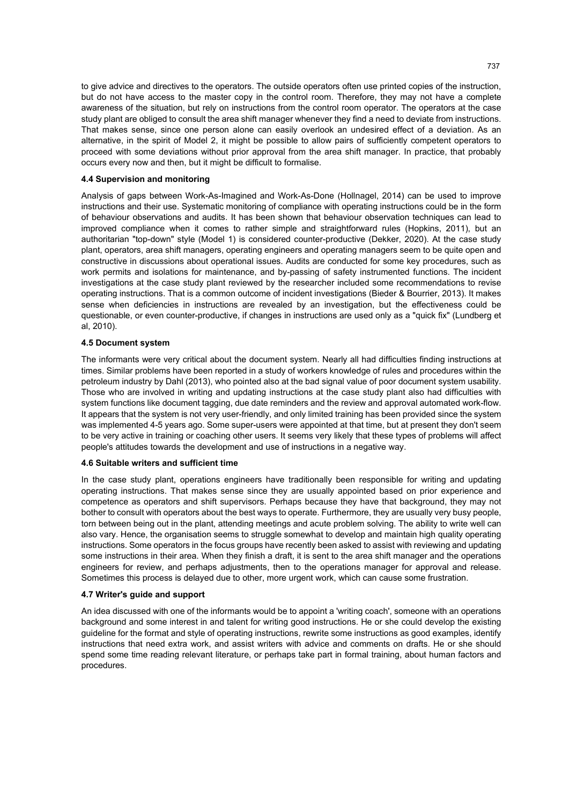to give advice and directives to the operators. The outside operators often use printed copies of the instruction, but do not have access to the master copy in the control room. Therefore, they may not have a complete awareness of the situation, but rely on instructions from the control room operator. The operators at the case study plant are obliged to consult the area shift manager whenever they find a need to deviate from instructions. That makes sense, since one person alone can easily overlook an undesired effect of a deviation. As an alternative, in the spirit of Model 2, it might be possible to allow pairs of sufficiently competent operators to proceed with some deviations without prior approval from the area shift manager. In practice, that probably occurs every now and then, but it might be difficult to formalise.

#### **4.4 Supervision and monitoring**

Analysis of gaps between Work-As-Imagined and Work-As-Done (Hollnagel, 2014) can be used to improve instructions and their use. Systematic monitoring of compliance with operating instructions could be in the form of behaviour observations and audits. It has been shown that behaviour observation techniques can lead to improved compliance when it comes to rather simple and straightforward rules (Hopkins, 2011), but an authoritarian "top-down" style (Model 1) is considered counter-productive (Dekker, 2020). At the case study plant, operators, area shift managers, operating engineers and operating managers seem to be quite open and constructive in discussions about operational issues. Audits are conducted for some key procedures, such as work permits and isolations for maintenance, and by-passing of safety instrumented functions. The incident investigations at the case study plant reviewed by the researcher included some recommendations to revise operating instructions. That is a common outcome of incident investigations (Bieder & Bourrier, 2013). It makes sense when deficiencies in instructions are revealed by an investigation, but the effectiveness could be questionable, or even counter-productive, if changes in instructions are used only as a "quick fix" (Lundberg et al, 2010).

#### **4.5 Document system**

The informants were very critical about the document system. Nearly all had difficulties finding instructions at times. Similar problems have been reported in a study of workers knowledge of rules and procedures within the petroleum industry by Dahl (2013), who pointed also at the bad signal value of poor document system usability. Those who are involved in writing and updating instructions at the case study plant also had difficulties with system functions like document tagging, due date reminders and the review and approval automated work-flow. It appears that the system is not very user-friendly, and only limited training has been provided since the system was implemented 4-5 years ago. Some super-users were appointed at that time, but at present they don't seem to be very active in training or coaching other users. It seems very likely that these types of problems will affect people's attitudes towards the development and use of instructions in a negative way.

#### **4.6 Suitable writers and sufficient time**

In the case study plant, operations engineers have traditionally been responsible for writing and updating operating instructions. That makes sense since they are usually appointed based on prior experience and competence as operators and shift supervisors. Perhaps because they have that background, they may not bother to consult with operators about the best ways to operate. Furthermore, they are usually very busy people, torn between being out in the plant, attending meetings and acute problem solving. The ability to write well can also vary. Hence, the organisation seems to struggle somewhat to develop and maintain high quality operating instructions. Some operators in the focus groups have recently been asked to assist with reviewing and updating some instructions in their area. When they finish a draft, it is sent to the area shift manager and the operations engineers for review, and perhaps adjustments, then to the operations manager for approval and release. Sometimes this process is delayed due to other, more urgent work, which can cause some frustration.

#### **4.7 Writer's guide and support**

An idea discussed with one of the informants would be to appoint a 'writing coach', someone with an operations background and some interest in and talent for writing good instructions. He or she could develop the existing guideline for the format and style of operating instructions, rewrite some instructions as good examples, identify instructions that need extra work, and assist writers with advice and comments on drafts. He or she should spend some time reading relevant literature, or perhaps take part in formal training, about human factors and procedures.